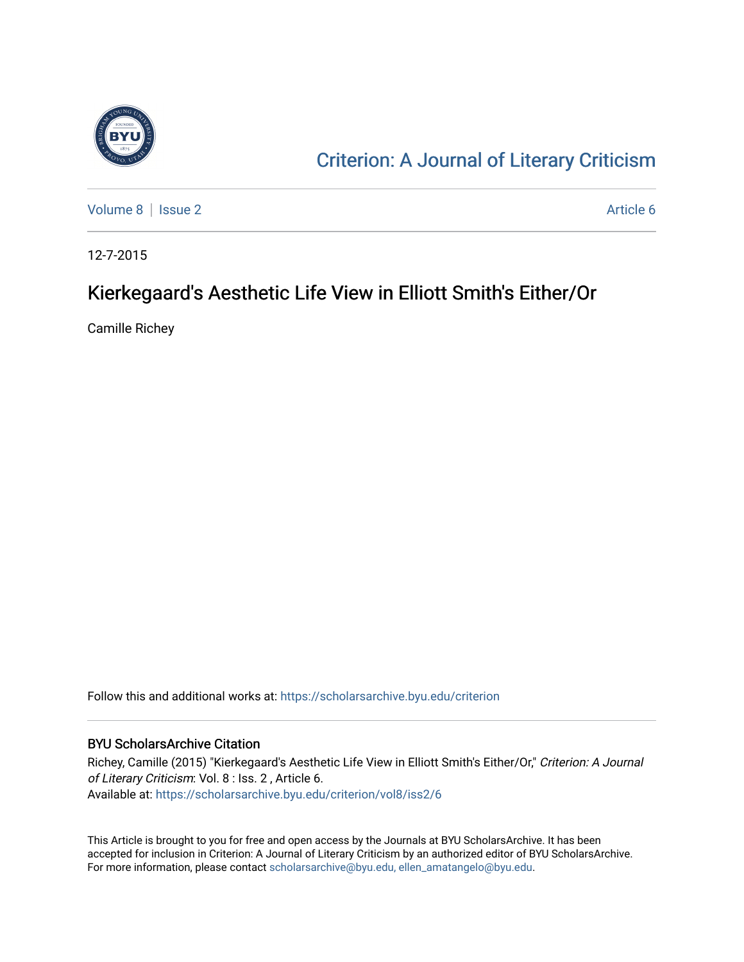

## [Criterion: A Journal of Literary Criticism](https://scholarsarchive.byu.edu/criterion)

[Volume 8](https://scholarsarchive.byu.edu/criterion/vol8) | [Issue 2](https://scholarsarchive.byu.edu/criterion/vol8/iss2) Article 6

12-7-2015

## Kierkegaard's Aesthetic Life View in Elliott Smith's Either/Or

Camille Richey

Follow this and additional works at: [https://scholarsarchive.byu.edu/criterion](https://scholarsarchive.byu.edu/criterion?utm_source=scholarsarchive.byu.edu%2Fcriterion%2Fvol8%2Fiss2%2F6&utm_medium=PDF&utm_campaign=PDFCoverPages) 

### BYU ScholarsArchive Citation

Richey, Camille (2015) "Kierkegaard's Aesthetic Life View in Elliott Smith's Either/Or," Criterion: A Journal of Literary Criticism: Vol. 8 : Iss. 2 , Article 6. Available at: [https://scholarsarchive.byu.edu/criterion/vol8/iss2/6](https://scholarsarchive.byu.edu/criterion/vol8/iss2/6?utm_source=scholarsarchive.byu.edu%2Fcriterion%2Fvol8%2Fiss2%2F6&utm_medium=PDF&utm_campaign=PDFCoverPages) 

This Article is brought to you for free and open access by the Journals at BYU ScholarsArchive. It has been accepted for inclusion in Criterion: A Journal of Literary Criticism by an authorized editor of BYU ScholarsArchive. For more information, please contact [scholarsarchive@byu.edu, ellen\\_amatangelo@byu.edu](mailto:scholarsarchive@byu.edu,%20ellen_amatangelo@byu.edu).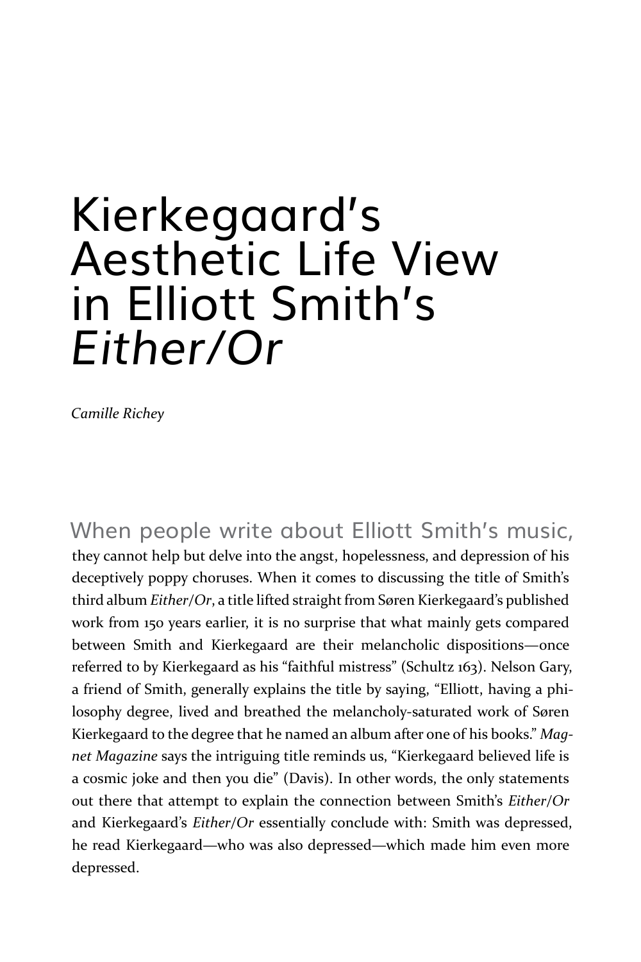# Kierkegaard's Aesthetic Life View in Elliott Smith's *Either/Or*

*Camille Richey*

When people write about Elliott Smith's music, they cannot help but delve into the angst, hopelessness, and depression of his deceptively poppy choruses. When it comes to discussing the title of Smith's third album *Either/Or*, a title lifted straight from Søren Kierkegaard's published work from 150 years earlier, it is no surprise that what mainly gets compared between Smith and Kierkegaard are their melancholic dispositions—once referred to by Kierkegaard as his "faithful mistress" (Schultz 163). Nelson Gary, a friend of Smith, generally explains the title by saying, "Elliott, having a philosophy degree, lived and breathed the melancholy-saturated work of Søren Kierkegaard to the degree that he named an album after one of his books." *Magnet Magazine* says the intriguing title reminds us, "Kierkegaard believed life is a cosmic joke and then you die" (Davis). In other words, the only statements out there that attempt to explain the connection between Smith's *Either/Or* and Kierkegaard's *Either/Or* essentially conclude with: Smith was depressed, he read Kierkegaard—who was also depressed—which made him even more depressed.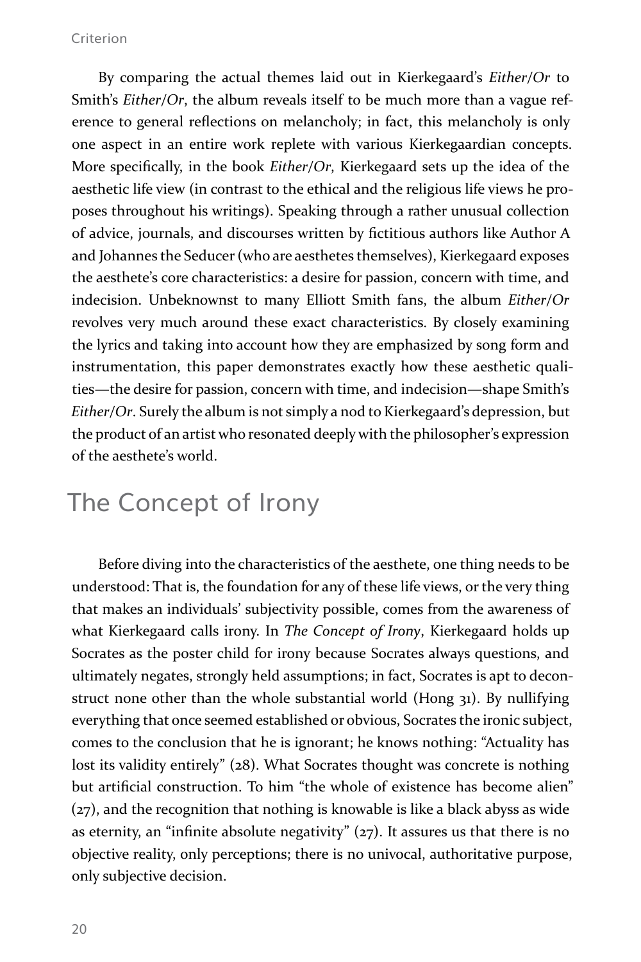By comparing the actual themes laid out in Kierkegaard's *Either/Or* to Smith's *Either/Or*, the album reveals itself to be much more than a vague reference to general reflections on melancholy; in fact, this melancholy is only one aspect in an entire work replete with various Kierkegaardian concepts. More specifically, in the book *Either/Or*, Kierkegaard sets up the idea of the aesthetic life view (in contrast to the ethical and the religious life views he proposes throughout his writings). Speaking through a rather unusual collection of advice, journals, and discourses written by fictitious authors like Author A and Johannes the Seducer (who are aesthetes themselves), Kierkegaard exposes the aesthete's core characteristics: a desire for passion, concern with time, and indecision. Unbeknownst to many Elliott Smith fans, the album *Either/Or* revolves very much around these exact characteristics. By closely examining the lyrics and taking into account how they are emphasized by song form and instrumentation, this paper demonstrates exactly how these aesthetic qualities—the desire for passion, concern with time, and indecision—shape Smith's *Either/Or*. Surely the album is not simply a nod to Kierkegaard's depression, but the product of an artist who resonated deeply with the philosopher's expression of the aesthete's world.

### The Concept of Irony

Before diving into the characteristics of the aesthete, one thing needs to be understood: That is, the foundation for any of these life views, or the very thing that makes an individuals' subjectivity possible, comes from the awareness of what Kierkegaard calls irony. In *The Concept of Irony*, Kierkegaard holds up Socrates as the poster child for irony because Socrates always questions, and ultimately negates, strongly held assumptions; in fact, Socrates is apt to deconstruct none other than the whole substantial world (Hong 31). By nullifying everything that once seemed established or obvious, Socrates the ironic subject, comes to the conclusion that he is ignorant; he knows nothing: "Actuality has lost its validity entirely" (28). What Socrates thought was concrete is nothing but artificial construction. To him "the whole of existence has become alien" (27), and the recognition that nothing is knowable is like a black abyss as wide as eternity, an "infinite absolute negativity" (27). It assures us that there is no objective reality, only perceptions; there is no univocal, authoritative purpose, only subjective decision.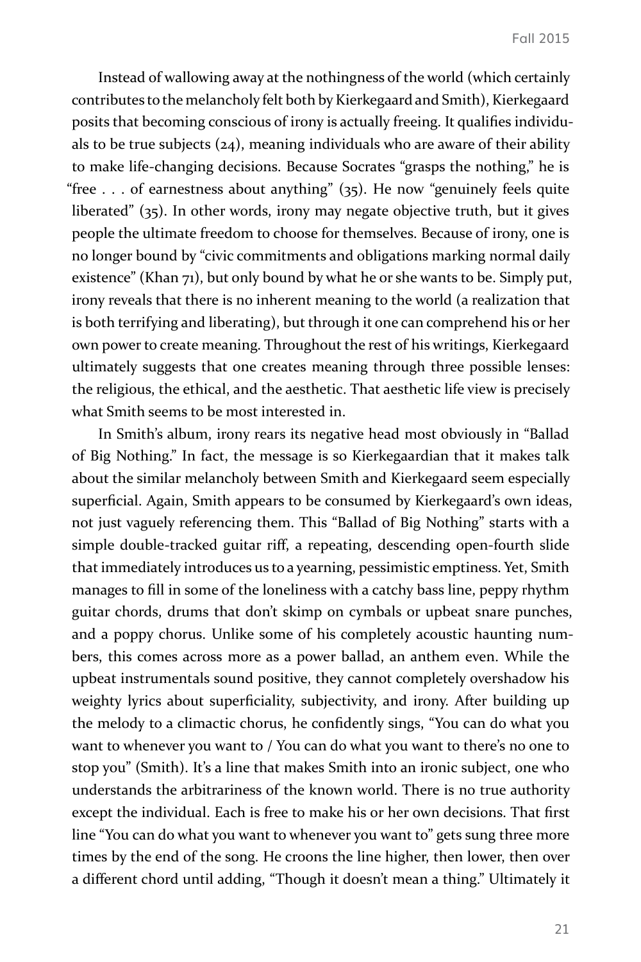Instead of wallowing away at the nothingness of the world (which certainly contributes to the melancholy felt both by Kierkegaard and Smith), Kierkegaard posits that becoming conscious of irony is actually freeing. It qualifies individuals to be true subjects (24), meaning individuals who are aware of their ability to make life-changing decisions. Because Socrates "grasps the nothing," he is "free  $\ldots$  of earnestness about anything" (35). He now "genuinely feels quite liberated" (35). In other words, irony may negate objective truth, but it gives people the ultimate freedom to choose for themselves. Because of irony, one is no longer bound by "civic commitments and obligations marking normal daily existence" (Khan 71), but only bound by what he or she wants to be. Simply put, irony reveals that there is no inherent meaning to the world (a realization that is both terrifying and liberating), but through it one can comprehend his or her own power to create meaning. Throughout the rest of his writings, Kierkegaard ultimately suggests that one creates meaning through three possible lenses: the religious, the ethical, and the aesthetic. That aesthetic life view is precisely what Smith seems to be most interested in.

In Smith's album, irony rears its negative head most obviously in "Ballad of Big Nothing." In fact, the message is so Kierkegaardian that it makes talk about the similar melancholy between Smith and Kierkegaard seem especially superficial. Again, Smith appears to be consumed by Kierkegaard's own ideas, not just vaguely referencing them. This "Ballad of Big Nothing" starts with a simple double-tracked guitar riff, a repeating, descending open-fourth slide that immediately introduces us to a yearning, pessimistic emptiness. Yet, Smith manages to fill in some of the loneliness with a catchy bass line, peppy rhythm guitar chords, drums that don't skimp on cymbals or upbeat snare punches, and a poppy chorus. Unlike some of his completely acoustic haunting numbers, this comes across more as a power ballad, an anthem even. While the upbeat instrumentals sound positive, they cannot completely overshadow his weighty lyrics about superficiality, subjectivity, and irony. After building up the melody to a climactic chorus, he confidently sings, "You can do what you want to whenever you want to / You can do what you want to there's no one to stop you" (Smith). It's a line that makes Smith into an ironic subject, one who understands the arbitrariness of the known world. There is no true authority except the individual. Each is free to make his or her own decisions. That first line "You can do what you want to whenever you want to" gets sung three more times by the end of the song. He croons the line higher, then lower, then over a different chord until adding, "Though it doesn't mean a thing." Ultimately it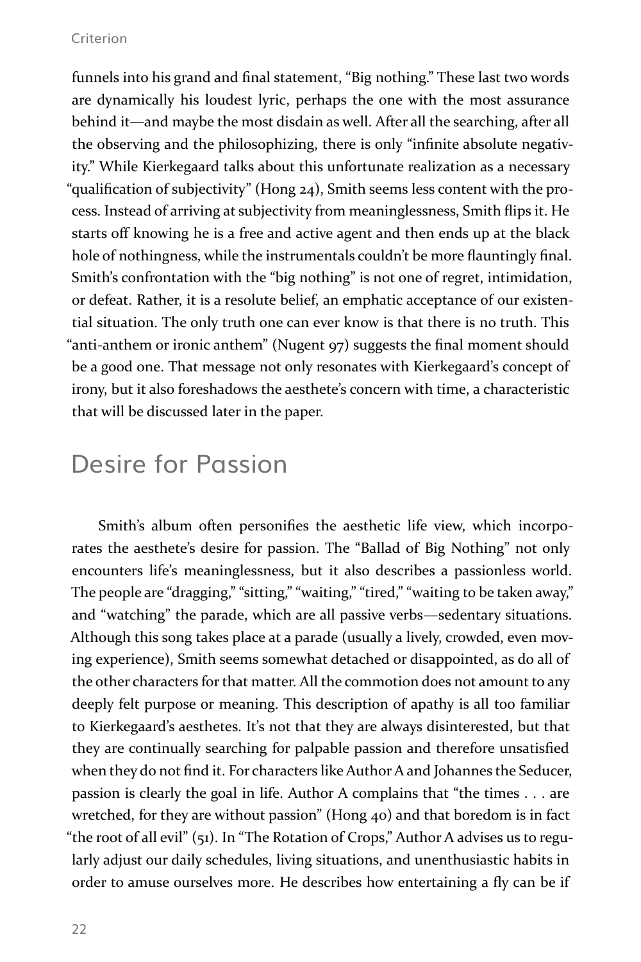funnels into his grand and final statement, "Big nothing." These last two words are dynamically his loudest lyric, perhaps the one with the most assurance behind it—and maybe the most disdain as well. After all the searching, after all the observing and the philosophizing, there is only "infinite absolute negativity." While Kierkegaard talks about this unfortunate realization as a necessary "qualification of subjectivity" (Hong 24), Smith seems less content with the process. Instead of arriving at subjectivity from meaninglessness, Smith flips it. He starts off knowing he is a free and active agent and then ends up at the black hole of nothingness, while the instrumentals couldn't be more flauntingly final. Smith's confrontation with the "big nothing" is not one of regret, intimidation, or defeat. Rather, it is a resolute belief, an emphatic acceptance of our existential situation. The only truth one can ever know is that there is no truth. This "anti-anthem or ironic anthem" (Nugent 97) suggests the final moment should be a good one. That message not only resonates with Kierkegaard's concept of irony, but it also foreshadows the aesthete's concern with time, a characteristic that will be discussed later in the paper.

### Desire for Passion

Smith's album often personifies the aesthetic life view, which incorporates the aesthete's desire for passion. The "Ballad of Big Nothing" not only encounters life's meaninglessness, but it also describes a passionless world. The people are "dragging," "sitting," "waiting," "tired," "waiting to be taken away," and "watching" the parade, which are all passive verbs—sedentary situations. Although this song takes place at a parade (usually a lively, crowded, even moving experience), Smith seems somewhat detached or disappointed, as do all of the other characters for that matter. All the commotion does not amount to any deeply felt purpose or meaning. This description of apathy is all too familiar to Kierkegaard's aesthetes. It's not that they are always disinterested, but that they are continually searching for palpable passion and therefore unsatisfied when they do not find it. For characters like Author A and Johannes the Seducer, passion is clearly the goal in life. Author A complains that "the times . . . are wretched, for they are without passion" (Hong 40) and that boredom is in fact "the root of all evil" (51). In "The Rotation of Crops," Author A advises us to regularly adjust our daily schedules, living situations, and unenthusiastic habits in order to amuse ourselves more. He describes how entertaining a fly can be if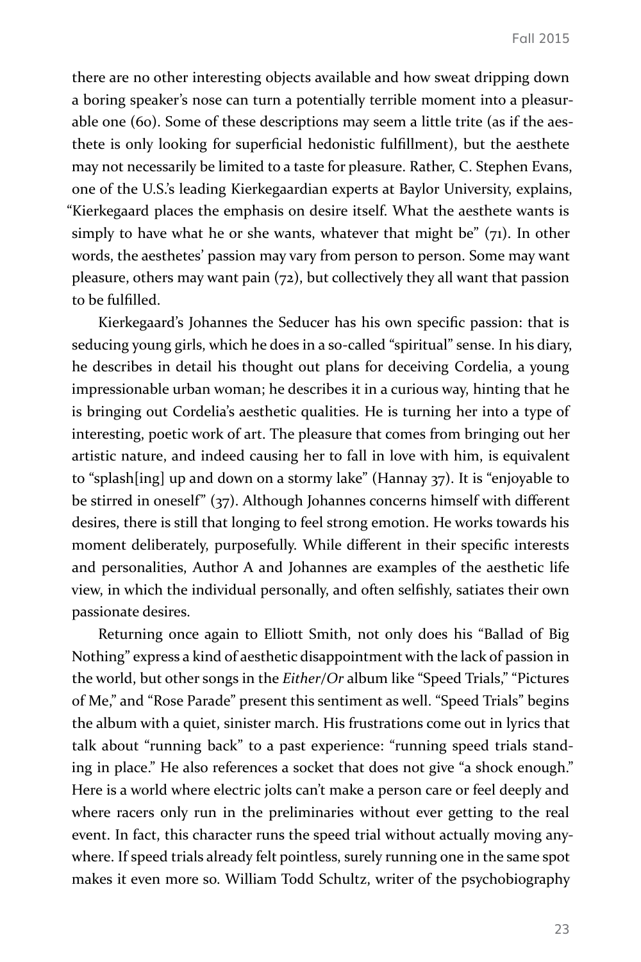there are no other interesting objects available and how sweat dripping down a boring speaker's nose can turn a potentially terrible moment into a pleasurable one (60). Some of these descriptions may seem a little trite (as if the aesthete is only looking for superficial hedonistic fulfillment), but the aesthete may not necessarily be limited to a taste for pleasure. Rather, C. Stephen Evans, one of the U.S.'s leading Kierkegaardian experts at Baylor University, explains, "Kierkegaard places the emphasis on desire itself. What the aesthete wants is simply to have what he or she wants, whatever that might be" (71). In other words, the aesthetes' passion may vary from person to person. Some may want pleasure, others may want pain (72), but collectively they all want that passion to be fulfilled.

Kierkegaard's Johannes the Seducer has his own specific passion: that is seducing young girls, which he does in a so-called "spiritual" sense. In his diary, he describes in detail his thought out plans for deceiving Cordelia, a young impressionable urban woman; he describes it in a curious way, hinting that he is bringing out Cordelia's aesthetic qualities. He is turning her into a type of interesting, poetic work of art. The pleasure that comes from bringing out her artistic nature, and indeed causing her to fall in love with him, is equivalent to "splash[ing] up and down on a stormy lake" (Hannay 37). It is "enjoyable to be stirred in oneself" (37). Although Johannes concerns himself with different desires, there is still that longing to feel strong emotion. He works towards his moment deliberately, purposefully. While different in their specific interests and personalities, Author A and Johannes are examples of the aesthetic life view, in which the individual personally, and often selfishly, satiates their own passionate desires.

Returning once again to Elliott Smith, not only does his "Ballad of Big Nothing" express a kind of aesthetic disappointment with the lack of passion in the world, but other songs in the *Either/Or* album like "Speed Trials," "Pictures of Me," and "Rose Parade" present this sentiment as well. "Speed Trials" begins the album with a quiet, sinister march. His frustrations come out in lyrics that talk about "running back" to a past experience: "running speed trials standing in place." He also references a socket that does not give "a shock enough." Here is a world where electric jolts can't make a person care or feel deeply and where racers only run in the preliminaries without ever getting to the real event. In fact, this character runs the speed trial without actually moving anywhere. If speed trials already felt pointless, surely running one in the same spot makes it even more so. William Todd Schultz, writer of the psychobiography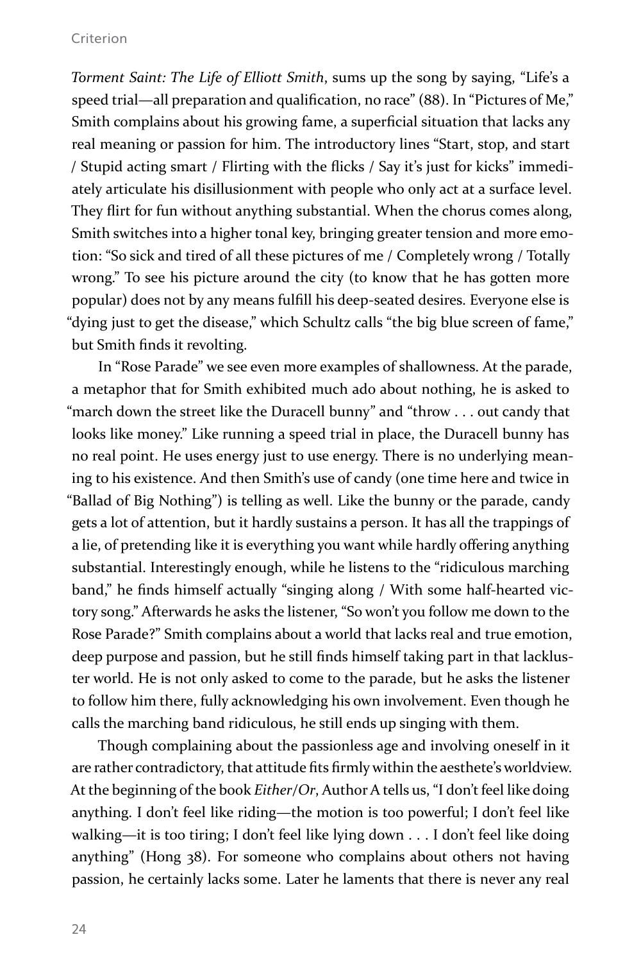*Torment Saint: The Life of Elliott Smith*, sums up the song by saying, "Life's a speed trial—all preparation and qualification, no race" (88). In "Pictures of Me," Smith complains about his growing fame, a superficial situation that lacks any real meaning or passion for him. The introductory lines "Start, stop, and start / Stupid acting smart / Flirting with the flicks / Say it's just for kicks" immediately articulate his disillusionment with people who only act at a surface level. They flirt for fun without anything substantial. When the chorus comes along, Smith switches into a higher tonal key, bringing greater tension and more emotion: "So sick and tired of all these pictures of me / Completely wrong / Totally wrong." To see his picture around the city (to know that he has gotten more popular) does not by any means fulfill his deep-seated desires. Everyone else is "dying just to get the disease," which Schultz calls "the big blue screen of fame," but Smith finds it revolting.

In "Rose Parade" we see even more examples of shallowness. At the parade, a metaphor that for Smith exhibited much ado about nothing, he is asked to "march down the street like the Duracell bunny" and "throw . . . out candy that looks like money." Like running a speed trial in place, the Duracell bunny has no real point. He uses energy just to use energy. There is no underlying meaning to his existence. And then Smith's use of candy (one time here and twice in "Ballad of Big Nothing") is telling as well. Like the bunny or the parade, candy gets a lot of attention, but it hardly sustains a person. It has all the trappings of a lie, of pretending like it is everything you want while hardly offering anything substantial. Interestingly enough, while he listens to the "ridiculous marching band," he finds himself actually "singing along / With some half-hearted victory song." Afterwards he asks the listener, "So won't you follow me down to the Rose Parade?" Smith complains about a world that lacks real and true emotion, deep purpose and passion, but he still finds himself taking part in that lackluster world. He is not only asked to come to the parade, but he asks the listener to follow him there, fully acknowledging his own involvement. Even though he calls the marching band ridiculous, he still ends up singing with them.

Though complaining about the passionless age and involving oneself in it are rather contradictory, that attitude fits firmly within the aesthete's worldview. At the beginning of the book *Either/Or*, Author A tells us, "I don't feel like doing anything. I don't feel like riding—the motion is too powerful; I don't feel like walking—it is too tiring; I don't feel like lying down . . . I don't feel like doing anything" (Hong 38). For someone who complains about others not having passion, he certainly lacks some. Later he laments that there is never any real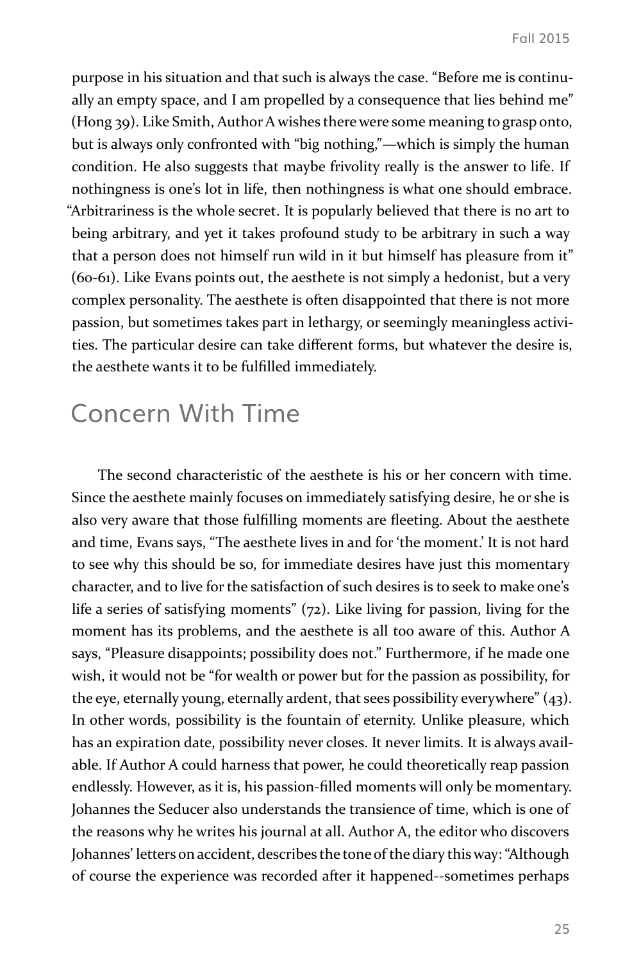purpose in his situation and that such is always the case. "Before me is continually an empty space, and I am propelled by a consequence that lies behind me" (Hong 39). Like Smith, Author A wishes there were some meaning to grasp onto, but is always only confronted with "big nothing,"—which is simply the human condition. He also suggests that maybe frivolity really is the answer to life. If nothingness is one's lot in life, then nothingness is what one should embrace. "Arbitrariness is the whole secret. It is popularly believed that there is no art to being arbitrary, and yet it takes profound study to be arbitrary in such a way that a person does not himself run wild in it but himself has pleasure from it" (60-61). Like Evans points out, the aesthete is not simply a hedonist, but a very complex personality. The aesthete is often disappointed that there is not more passion, but sometimes takes part in lethargy, or seemingly meaningless activities. The particular desire can take different forms, but whatever the desire is, the aesthete wants it to be fulfilled immediately.

### Concern With Time

The second characteristic of the aesthete is his or her concern with time. Since the aesthete mainly focuses on immediately satisfying desire, he or she is also very aware that those fulfilling moments are fleeting. About the aesthete and time, Evans says, "The aesthete lives in and for 'the moment.' It is not hard to see why this should be so, for immediate desires have just this momentary character, and to live for the satisfaction of such desires is to seek to make one's life a series of satisfying moments" (72). Like living for passion, living for the moment has its problems, and the aesthete is all too aware of this. Author A says, "Pleasure disappoints; possibility does not." Furthermore, if he made one wish, it would not be "for wealth or power but for the passion as possibility, for the eye, eternally young, eternally ardent, that sees possibility everywhere" (43). In other words, possibility is the fountain of eternity. Unlike pleasure, which has an expiration date, possibility never closes. It never limits. It is always available. If Author A could harness that power, he could theoretically reap passion endlessly. However, as it is, his passion-filled moments will only be momentary. Johannes the Seducer also understands the transience of time, which is one of the reasons why he writes his journal at all. Author A, the editor who discovers Johannes' letters on accident, describes the tone of the diary this way: "Although of course the experience was recorded after it happened--sometimes perhaps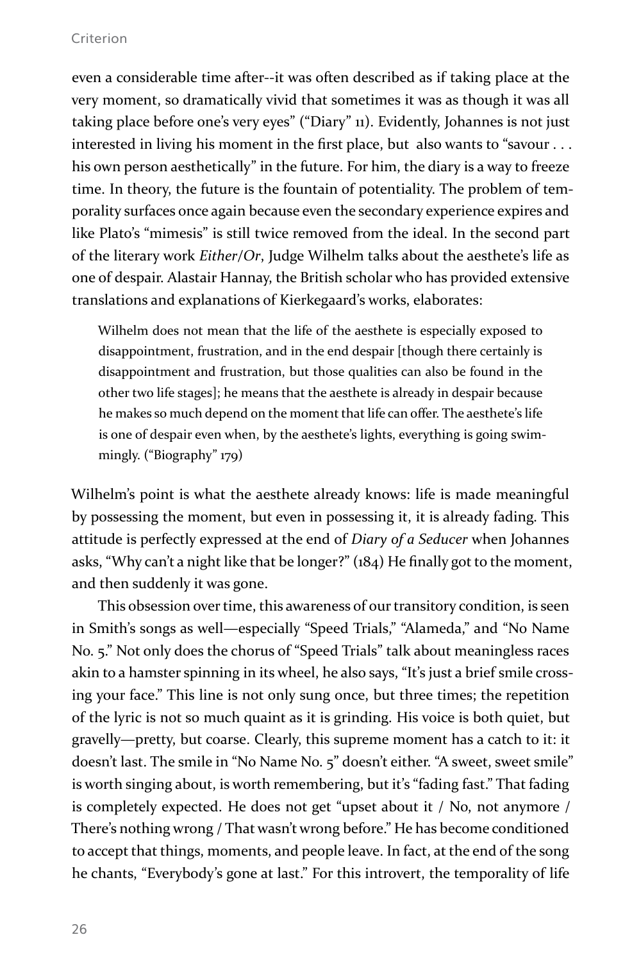even a considerable time after--it was often described as if taking place at the very moment, so dramatically vivid that sometimes it was as though it was all taking place before one's very eyes" ("Diary" 11). Evidently, Johannes is not just interested in living his moment in the first place, but also wants to "savour . . . his own person aesthetically" in the future. For him, the diary is a way to freeze time. In theory, the future is the fountain of potentiality. The problem of temporality surfaces once again because even the secondary experience expires and like Plato's "mimesis" is still twice removed from the ideal. In the second part of the literary work *Either/Or*, Judge Wilhelm talks about the aesthete's life as one of despair. Alastair Hannay, the British scholar who has provided extensive translations and explanations of Kierkegaard's works, elaborates:

Wilhelm does not mean that the life of the aesthete is especially exposed to disappointment, frustration, and in the end despair [though there certainly is disappointment and frustration, but those qualities can also be found in the other two life stages]; he means that the aesthete is already in despair because he makes so much depend on the moment that life can offer. The aesthete's life is one of despair even when, by the aesthete's lights, everything is going swimmingly. ("Biography" 179)

Wilhelm's point is what the aesthete already knows: life is made meaningful by possessing the moment, but even in possessing it, it is already fading. This attitude is perfectly expressed at the end of *Diary of a Seducer* when Johannes asks, "Why can't a night like that be longer?" (184) He finally got to the moment, and then suddenly it was gone.

This obsession over time, this awareness of our transitory condition, is seen in Smith's songs as well—especially "Speed Trials," "Alameda," and "No Name No. 5." Not only does the chorus of "Speed Trials" talk about meaningless races akin to a hamster spinning in its wheel, he also says, "It's just a brief smile crossing your face." This line is not only sung once, but three times; the repetition of the lyric is not so much quaint as it is grinding. His voice is both quiet, but gravelly—pretty, but coarse. Clearly, this supreme moment has a catch to it: it doesn't last. The smile in "No Name No. 5" doesn't either. "A sweet, sweet smile" is worth singing about, is worth remembering, but it's "fading fast." That fading is completely expected. He does not get "upset about it / No, not anymore / There's nothing wrong / That wasn't wrong before." He has become conditioned to accept that things, moments, and people leave. In fact, at the end of the song he chants, "Everybody's gone at last." For this introvert, the temporality of life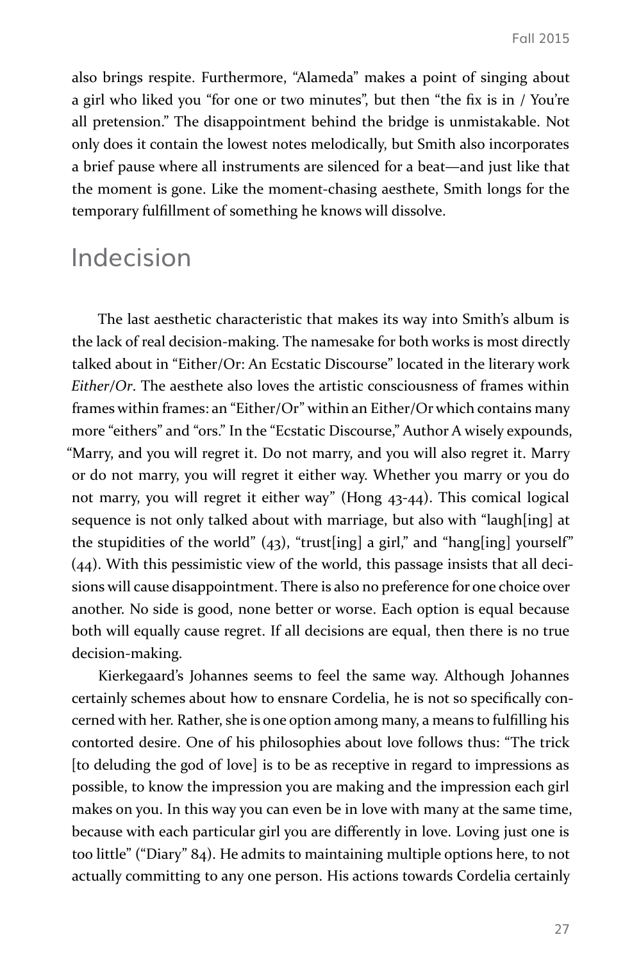also brings respite. Furthermore, "Alameda" makes a point of singing about a girl who liked you "for one or two minutes", but then "the fix is in / You're all pretension." The disappointment behind the bridge is unmistakable. Not only does it contain the lowest notes melodically, but Smith also incorporates a brief pause where all instruments are silenced for a beat—and just like that the moment is gone. Like the moment-chasing aesthete, Smith longs for the temporary fulfillment of something he knows will dissolve.

### Indecision

The last aesthetic characteristic that makes its way into Smith's album is the lack of real decision-making. The namesake for both works is most directly talked about in "Either/Or: An Ecstatic Discourse" located in the literary work *Either/Or*. The aesthete also loves the artistic consciousness of frames within frames within frames: an "Either/Or" within an Either/Or which contains many more "eithers" and "ors." In the "Ecstatic Discourse," Author A wisely expounds, "Marry, and you will regret it. Do not marry, and you will also regret it. Marry or do not marry, you will regret it either way. Whether you marry or you do not marry, you will regret it either way" (Hong 43-44). This comical logical sequence is not only talked about with marriage, but also with "laugh[ing] at the stupidities of the world"  $(43)$ , "trust[ing] a girl," and "hang[ing] yourself" (44). With this pessimistic view of the world, this passage insists that all decisions will cause disappointment. There is also no preference for one choice over another. No side is good, none better or worse. Each option is equal because both will equally cause regret. If all decisions are equal, then there is no true decision-making.

Kierkegaard's Johannes seems to feel the same way. Although Johannes certainly schemes about how to ensnare Cordelia, he is not so specifically concerned with her. Rather, she is one option among many, a means to fulfilling his contorted desire. One of his philosophies about love follows thus: "The trick [to deluding the god of love] is to be as receptive in regard to impressions as possible, to know the impression you are making and the impression each girl makes on you. In this way you can even be in love with many at the same time, because with each particular girl you are differently in love. Loving just one is too little" ("Diary" 84). He admits to maintaining multiple options here, to not actually committing to any one person. His actions towards Cordelia certainly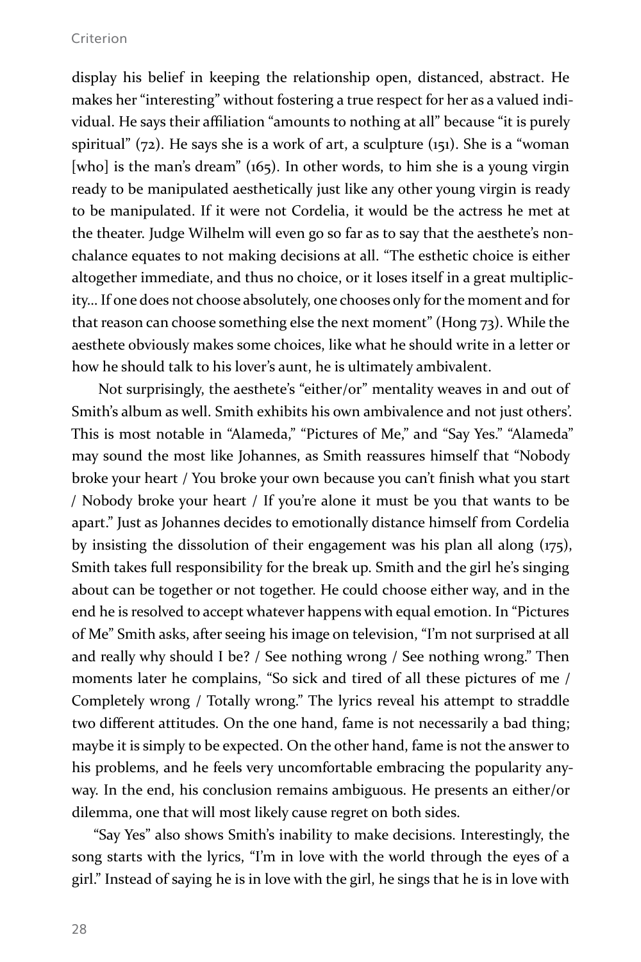display his belief in keeping the relationship open, distanced, abstract. He makes her "interesting" without fostering a true respect for her as a valued individual. He says their affiliation "amounts to nothing at all" because "it is purely spiritual"  $(72)$ . He says she is a work of art, a sculpture  $(151)$ . She is a "woman [who] is the man's dream" (165). In other words, to him she is a young virgin ready to be manipulated aesthetically just like any other young virgin is ready to be manipulated. If it were not Cordelia, it would be the actress he met at the theater. Judge Wilhelm will even go so far as to say that the aesthete's nonchalance equates to not making decisions at all. "The esthetic choice is either altogether immediate, and thus no choice, or it loses itself in a great multiplicity… If one does not choose absolutely, one chooses only for the moment and for that reason can choose something else the next moment" (Hong 73). While the aesthete obviously makes some choices, like what he should write in a letter or how he should talk to his lover's aunt, he is ultimately ambivalent.

Not surprisingly, the aesthete's "either/or" mentality weaves in and out of Smith's album as well. Smith exhibits his own ambivalence and not just others'. This is most notable in "Alameda," "Pictures of Me," and "Say Yes." "Alameda" may sound the most like Johannes, as Smith reassures himself that "Nobody broke your heart / You broke your own because you can't finish what you start / Nobody broke your heart / If you're alone it must be you that wants to be apart." Just as Johannes decides to emotionally distance himself from Cordelia by insisting the dissolution of their engagement was his plan all along (175), Smith takes full responsibility for the break up. Smith and the girl he's singing about can be together or not together. He could choose either way, and in the end he is resolved to accept whatever happens with equal emotion. In "Pictures of Me" Smith asks, after seeing his image on television, "I'm not surprised at all and really why should I be? / See nothing wrong / See nothing wrong." Then moments later he complains, "So sick and tired of all these pictures of me / Completely wrong / Totally wrong." The lyrics reveal his attempt to straddle two different attitudes. On the one hand, fame is not necessarily a bad thing; maybe it is simply to be expected. On the other hand, fame is not the answer to his problems, and he feels very uncomfortable embracing the popularity anyway. In the end, his conclusion remains ambiguous. He presents an either/or dilemma, one that will most likely cause regret on both sides.

"Say Yes" also shows Smith's inability to make decisions. Interestingly, the song starts with the lyrics, "I'm in love with the world through the eyes of a girl." Instead of saying he is in love with the girl, he sings that he is in love with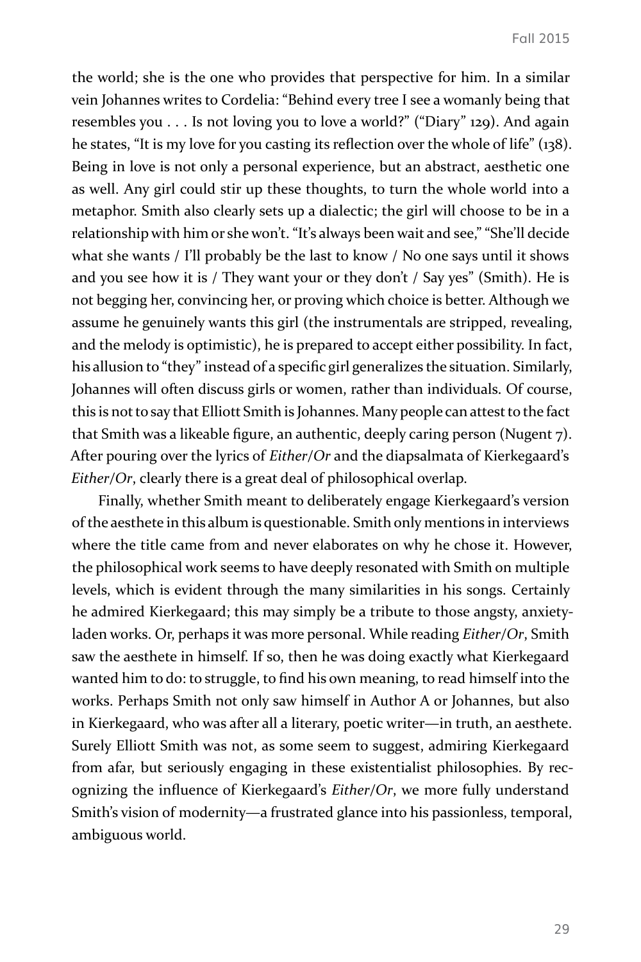the world; she is the one who provides that perspective for him. In a similar vein Johannes writes to Cordelia: "Behind every tree I see a womanly being that resembles you . . . Is not loving you to love a world?" ("Diary" 129). And again he states, "It is my love for you casting its reflection over the whole of life" (138). Being in love is not only a personal experience, but an abstract, aesthetic one as well. Any girl could stir up these thoughts, to turn the whole world into a metaphor. Smith also clearly sets up a dialectic; the girl will choose to be in a relationship with him or she won't. "It's always been wait and see," "She'll decide what she wants / I'll probably be the last to know / No one says until it shows and you see how it is / They want your or they don't / Say yes" (Smith). He is not begging her, convincing her, or proving which choice is better. Although we assume he genuinely wants this girl (the instrumentals are stripped, revealing, and the melody is optimistic), he is prepared to accept either possibility. In fact, his allusion to "they" instead of a specific girl generalizes the situation. Similarly, Johannes will often discuss girls or women, rather than individuals. Of course, this is not to say that Elliott Smith is Johannes. Many people can attest to the fact that Smith was a likeable figure, an authentic, deeply caring person (Nugent 7). After pouring over the lyrics of *Either/Or* and the diapsalmata of Kierkegaard's *Either/Or*, clearly there is a great deal of philosophical overlap.

Finally, whether Smith meant to deliberately engage Kierkegaard's version of the aesthete in this album is questionable. Smith only mentions in interviews where the title came from and never elaborates on why he chose it. However, the philosophical work seems to have deeply resonated with Smith on multiple levels, which is evident through the many similarities in his songs. Certainly he admired Kierkegaard; this may simply be a tribute to those angsty, anxietyladen works. Or, perhaps it was more personal. While reading *Either/Or*, Smith saw the aesthete in himself. If so, then he was doing exactly what Kierkegaard wanted him to do: to struggle, to find his own meaning, to read himself into the works. Perhaps Smith not only saw himself in Author A or Johannes, but also in Kierkegaard, who was after all a literary, poetic writer—in truth, an aesthete. Surely Elliott Smith was not, as some seem to suggest, admiring Kierkegaard from afar, but seriously engaging in these existentialist philosophies. By recognizing the influence of Kierkegaard's *Either/Or*, we more fully understand Smith's vision of modernity—a frustrated glance into his passionless, temporal, ambiguous world.